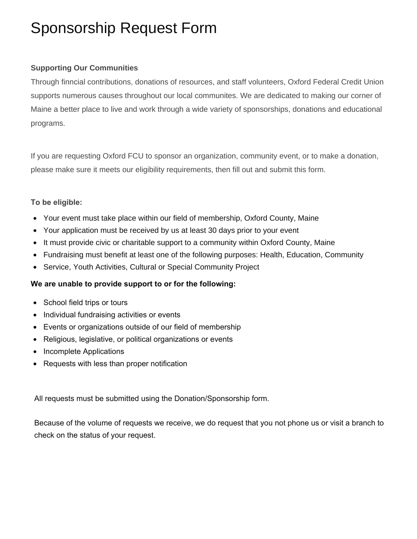## Sponsorship Request Form

## **Supporting Our Communities**

Through finncial contributions, donations of resources, and staff volunteers, Oxford Federal Credit Union supports numerous causes throughout our local communites. We are dedicated to making our corner of Maine a better place to live and work through a wide variety of sponsorships, donations and educational programs.

If you are requesting Oxford FCU to sponsor an organization, community event, or to make a donation, please make sure it meets our eligibility requirements, then fill out and submit this form.

## **To be eligible:**

- Your event must take place within our field of membership, Oxford County, Maine
- Your application must be received by us at least 30 days prior to your event
- It must provide civic or charitable support to a community within Oxford County, Maine
- Fundraising must benefit at least one of the following purposes: Health, Education, Community
- Service, Youth Activities, Cultural or Special Community Project

## **We are unable to provide support to or for the following:**

- School field trips or tours
- Individual fundraising activities or events
- Events or organizations outside of our field of membership
- Religious, legislative, or political organizations or events
- Incomplete Applications
- Requests with less than proper notification

All requests must be submitted using the Donation/Sponsorship form.

Because of the volume of requests we receive, we do request that you not phone us or visit a branch to check on the status of your request.